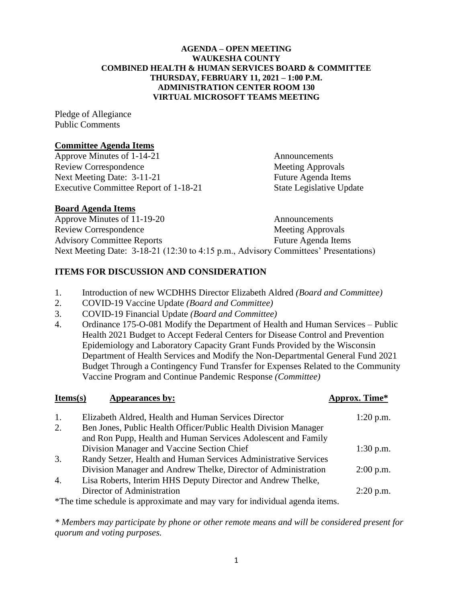### **AGENDA – OPEN MEETING WAUKESHA COUNTY COMBINED HEALTH & HUMAN SERVICES BOARD & COMMITTEE THURSDAY, FEBRUARY 11, 2021 – 1:00 P.M. ADMINISTRATION CENTER ROOM 130 VIRTUAL MICROSOFT TEAMS MEETING**

Pledge of Allegiance Public Comments

### **Committee Agenda Items**

Approve Minutes of 1-14-21 Announcements Review Correspondence Meeting Approvals Next Meeting Date: 3-11-21 Future Agenda Items Executive Committee Report of 1-18-21 State Legislative Update

## **Board Agenda Items**

Approve Minutes of 11-19-20 Announcements Review Correspondence Meeting Approvals Advisory Committee Reports Future Agenda Items Next Meeting Date: 3-18-21 (12:30 to 4:15 p.m., Advisory Committees' Presentations)

## **ITEMS FOR DISCUSSION AND CONSIDERATION**

- 1. Introduction of new WCDHHS Director Elizabeth Aldred *(Board and Committee)*
- 2. COVID-19 Vaccine Update *(Board and Committee)*
- 3. COVID-19 Financial Update *(Board and Committee)*
- 4. Ordinance 175-O-081 Modify the Department of Health and Human Services Public Health 2021 Budget to Accept Federal Centers for Disease Control and Prevention Epidemiology and Laboratory Capacity Grant Funds Provided by the Wisconsin Department of Health Services and Modify the Non-Departmental General Fund 2021 Budget Through a Contingency Fund Transfer for Expenses Related to the Community Vaccine Program and Continue Pandemic Response *(Committee)*

| Items(s)                                                                    | Appearances by:                                                 | Approx. Time* |
|-----------------------------------------------------------------------------|-----------------------------------------------------------------|---------------|
| 1.                                                                          | Elizabeth Aldred, Health and Human Services Director            | $1:20$ p.m.   |
| 2.                                                                          | Ben Jones, Public Health Officer/Public Health Division Manager |               |
|                                                                             | and Ron Pupp, Health and Human Services Adolescent and Family   |               |
|                                                                             | Division Manager and Vaccine Section Chief                      | $1:30$ p.m.   |
| 3.                                                                          | Randy Setzer, Health and Human Services Administrative Services |               |
|                                                                             | Division Manager and Andrew Thelke, Director of Administration  | $2:00$ p.m.   |
| $\overline{4}$ .                                                            | Lisa Roberts, Interim HHS Deputy Director and Andrew Thelke,    |               |
|                                                                             | Director of Administration                                      | $2:20$ p.m.   |
| *The time schedule is approximate and may vary for individual agenda items. |                                                                 |               |

*\* Members may participate by phone or other remote means and will be considered present for quorum and voting purposes.*